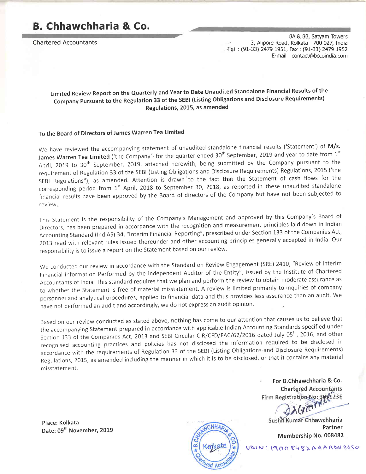# B. Chhawchharia & Co,

Chartered Accountants

8A & 88, Satyam Towers 3, Alipore Road, Kolkata - 700 027, India ,-Tel : (91-33) 2479 t951, Fax : (91-33) 2479 L952 E-mail : contact@bccoindia.com

# Limited Review Report on the Quarterly and Year to Date Unaudited Standalone Financial Results of the Company pursuant to the Regulation 33 of the SEBI (Listing Obligations and Disclosure Requirements) Regulations, 2015, as amended

#### To the Board of Directors of James Warren Tea Limited

We have reviewed the accompanying statement of unaudited standalone financial results ('Statement') of M/s. James Warren Tea Limited ('the Company') for the quarter ended  $30<sup>th</sup>$  September, 2019 and year to date from  $1<sup>st</sup>$ April, 2019 to 30<sup>th</sup> September, 2019, attached herewith, being submitted by the Company pursuant to the requirement of Regulation 33 of the sEBl (Listing obligations and Disclosure Requirements) Regulations,20L5 ('the SEBI Regulations"), as amended. Attention is drawn to the fact that the Statement of cash flows for the corresponding period from 1<sup>st</sup> April, 2018 to September 30, 2018, as reported in these unaudited standalone financial results have been approved by the Board of directors of the Company but have not been subjected to revlew

This statement ls the responsibility of the company's Management and approved by this company's Board of Directors, has been prepared in accordance with the recognition and measurement principles laid down in Indian Accounting standard (lnd AS) 34, "lnterim Financial Reporting", prescribed under Section 133 of the Companies Act, 2013 read with relevant rules issued thereunder and other accounting principles generally accepted in India. Our responsibllity is to issue a report on the statement based on our revlew.

We conducted our review in accordance with the Standard on Review Engagement (SRE) 2410, "Review of Interim Frnancial Information performed by the Independent Auditor of the Entity", issued by the Institute of Chartered Accountants of India. This standard requires that we plan and perform the review to obtain moderate assurance as to whether the statement is free of material misstatement. A review is limited primarily to inquiries of company personnel and analytical procedures, applied to financial data and thus provides less assurance than an audit. we have not performed an audit and accordingly, we do not express an audit opinion.

Based on our review conducted as stated above, nothing has come to our attention that causes us to believe that the accompanying statement prepared in accordance with applicable lndian Accounting Standards specified under Section 133 of the Companies Act, 2013 and SEBI Circular CIR/CFD/FAC/62/2016 dated July 05<sup>th</sup>, 2016, and other recognised accounting practices and policies has not disclosed the information required to be disclosed in accordance with the requirements of Regulation 33 of the SEBI (Listing obligations and Disclosure Requirements) Regulations, 2015, as amended including the manner in which it is to be disclosed, or that it contains any material misstatement.

Place: Kolkata



For B.Chhawchharia & Co. **Chartered Accountants** Firm Registration No: 301123E

Sushil Kumar Chhawchharia Date: 09<sup>th</sup> November, 2019 Partner Partner Membership No. 008482

 $119008482AAABW3650$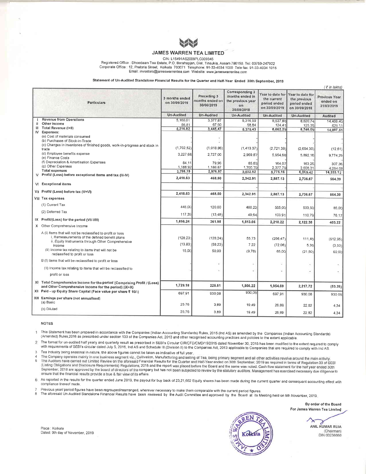

CIN: L15491AS2009PLC009345

Registered Office : Dhoedaam Tea Estate, P.O. Borahapjan, Dist. Tinsukia, Assam 786150, Tel: 03759-247922 Corporate Office : 12, Pretoria Street, Kolkata 700071 Telephone: 91-33-4034 1000 Tele fax: 91-33-4034 1015 Email: investors@jameswarrentea.com Website: www.jameswarrentea.com

Statement of Un-Audited Standalone Financial Results for the Quarter and Half-Year Ended 3Oth September, 2019

|    |                                                                                                                                                                                                                                                                       |                                 |                                              |                                                                             |                                                                  |                                                                   | (₹ in lakhs)                            |
|----|-----------------------------------------------------------------------------------------------------------------------------------------------------------------------------------------------------------------------------------------------------------------------|---------------------------------|----------------------------------------------|-----------------------------------------------------------------------------|------------------------------------------------------------------|-------------------------------------------------------------------|-----------------------------------------|
|    | <b>Particulars</b>                                                                                                                                                                                                                                                    | 3 months ended<br>on 30/09/2019 | Preceding 3<br>months ended on<br>30/06/2019 | Corresponding 3<br>months ended In<br>the previous year<br>on<br>30/09/2018 | Year to date for<br>the current<br>period ended<br>on 30/09/2019 | Year to date for<br>the previous<br>period ended<br>on 30/09/2018 | Previous Year<br>ended on<br>31/03/2019 |
|    |                                                                                                                                                                                                                                                                       | <b>Un-Audited</b>               | <b>Un-Audited</b>                            | <b>Un-Audited</b>                                                           | <b>Un-Audited</b>                                                | <b>Un-Audited</b>                                                 | <b>Audited</b>                          |
|    | <b>Revenue from Operations</b><br>Other Income                                                                                                                                                                                                                        | 5.160.01                        | 3.377.87                                     | 5.316.59                                                                    | 8,537.88                                                         | 8,620.74                                                          | 14,468.40                               |
| Ш  | Total Revenue (I+II)                                                                                                                                                                                                                                                  | 56.81<br>5,216.82               | 67.60<br>3,445.47                            | 58.84                                                                       | 124.41                                                           | 125.35                                                            | 429.11                                  |
| IV | Expenses:                                                                                                                                                                                                                                                             |                                 |                                              | 5,375.43                                                                    | 8,662.29                                                         | 8,746.09                                                          | 14,897.51                               |
|    | (a) Cost of materials consumed<br>(b) Purchases of Stock-in-Trade<br>(c) Changes in inventories of finished goods, work-in-progress and stock in<br>trade                                                                                                             | (1,702,52)                      | (1,018.86)                                   | (1,413,37)                                                                  | (2,721,38)                                                       | (2,654,30)                                                        | (12.61)                                 |
|    | (d) Employee benefits expense<br>(e) Finance Costs                                                                                                                                                                                                                    | 3,227.68                        | 2,727.00                                     | 2.969.87                                                                    | 5,954.68                                                         | 5,892.16                                                          | 9,774.29                                |
|    | (f) Depreciation & Amortisation Expenses                                                                                                                                                                                                                              | 84.11                           | 79.96                                        | 85.63                                                                       | 164.07                                                           | 163 25                                                            | 307.36                                  |
|    | (g) Other Expenses                                                                                                                                                                                                                                                    | 1,188.92                        | 1,188.87                                     | 1,390.39                                                                    | 2,377.79                                                         | 2.608.31                                                          | 4,264.08                                |
| v  | <b>Total expenses</b><br>Profit/ (Loss) before exceptional items and tax (III-IV)                                                                                                                                                                                     | 2,798.19                        | 2,976.97                                     | 3,032.52                                                                    | 5,775.16                                                         | 6,009.42                                                          | 14,333.12                               |
|    |                                                                                                                                                                                                                                                                       | 2,418.63                        | 468,50                                       | 2,342.91                                                                    | 2,887.13                                                         | 2,736.67                                                          | 564.39                                  |
|    | VI Exceptional items                                                                                                                                                                                                                                                  |                                 |                                              |                                                                             |                                                                  |                                                                   |                                         |
|    | VII Profit/ (Loss) before tax (V+VI)                                                                                                                                                                                                                                  | 2,418.63                        | 468,50                                       | 2,342.91                                                                    | 2,887.13                                                         | 2,736.67                                                          | 564.39                                  |
|    | <b>VIII Tax expenses</b>                                                                                                                                                                                                                                              |                                 |                                              |                                                                             |                                                                  |                                                                   |                                         |
|    | (1) Current Tax                                                                                                                                                                                                                                                       | 445.00                          | 120.00                                       | 480.22                                                                      | 565.00                                                           | 503.50                                                            | 85.00                                   |
|    | (2) Deferred Tax                                                                                                                                                                                                                                                      | 117.39                          | (13, 48)                                     | 49.64                                                                       | 103 91                                                           | 110.79                                                            | 76.17                                   |
|    | IX Profit/(Loss) for the period (VII-VIII)                                                                                                                                                                                                                            | 1,856.24                        | 361,98                                       | 1,813.05                                                                    | 2,218.22                                                         | 2,122.38                                                          | 403.22                                  |
|    | X Other Comprehensive Income                                                                                                                                                                                                                                          |                                 |                                              |                                                                             |                                                                  |                                                                   |                                         |
|    | A (I) Items that will not be reclassified to profit or loss<br>i. Remeasurements of the defined benefit plans<br>ii. Equity Instruments through Other Comprehensive<br>Income<br>(II) Income tax relating to items that will not be<br>reclassified to profit or loss | (128.23)<br>(13.83)<br>15.00    | (128.24)<br>(58.23)<br>50.00                 | 55.73<br>7.22<br>(9.78)                                                     | (256.47)<br>(72.06)<br>65.00                                     | 111.46<br>5.38<br>(21.50)                                         | (512.95)<br>(3.53)<br>60.00             |
|    | B (I) Items that will be reclassified to profit or loss                                                                                                                                                                                                               |                                 |                                              |                                                                             |                                                                  |                                                                   |                                         |
|    | (II) Income tax relating to items that will be reclassified to                                                                                                                                                                                                        |                                 |                                              |                                                                             |                                                                  | $\overline{\phantom{a}}$                                          |                                         |
|    | profit or loss                                                                                                                                                                                                                                                        |                                 |                                              |                                                                             |                                                                  |                                                                   |                                         |
|    | XI Total Comprehensive Income for the period (Comprising Profit / (Loss)<br>and Other Comprehensive Income for the period) (IX+X)<br>XII Paid - up Equity Share Capital (Face value per share ₹ 10/-)                                                                 | 1,729.18                        | 225.51                                       | 1,866.22<br>930.08                                                          | 1,954.69                                                         | 2,217.72                                                          | (53.26)                                 |
|    | XIII Eamings per share (not annualised)                                                                                                                                                                                                                               | 697.91                          | 930.08                                       |                                                                             | 697.91                                                           | 930.08                                                            | 930.08                                  |
|    | (a) Basic                                                                                                                                                                                                                                                             | 25.76                           | 3.89                                         | 19.49                                                                       | 26.89                                                            | 2282                                                              | 4.34                                    |
|    | (b) Diluted                                                                                                                                                                                                                                                           | 25.76                           | 3.89                                         | 19.49                                                                       | 26.89                                                            | 22.82                                                             | 4.34                                    |

#### NOTES

 $\mathbf{I}$ This Statement has been prepared in accordance with the Companies (Indian Accounting Standards) Rules, 2015 (Ind AS) as amended by the Companies (Indian Accounting Standards)<br>(Amended) Rules,2016 as prescribed under sectio

 $\overline{2}$ with requirements of SEBI's circular dated July 5, 2016, Ind AS and Schedule III (Division II) to the Companies Act, 2013 applicable to Companies that are required to comply with Ind AS.<br>Tea Industry being seasonal in natu

3

4 5 ultivation, Manufacturing and selling of Tea, being primary segment and all other activities revolve around the main activity.<br>Financial Results for the Quarter and Half-Year ended on 30th September, 2019 as required in te (Listing Obligations and Disclosure Requirements) Regulations, 2015 and the report was placed before the Board and the same was noted. Cash flow statement for the half year ended 30th September, 2018 are approved by the board of directors of the company but has not been subjected to review by the statutory auditors. Management has exercised necessary due diligence to ensure that the financial results provide a true & fair view of its affairs.

6 As reported in the results for the quarter ended June 2019, the payout for buy back of 23,21,662 Equity shares has been made during the current quarter and consequent accounting effect with<br>compliance thereof made.

Previous year/ period figures have been regrouped/rearranged, wherever necessary to make them comparable with the current period figures.

The aforesaid Un-Audited Standalone Financial Results have been reviewed by the Audit Committee and approved by the Board at its Meeting held on 9th November, 2019. 8



ANIL KUMAR RUIA (Chairman) DIN 00236660

Place: Kolkata Dated: gth day of November, 2019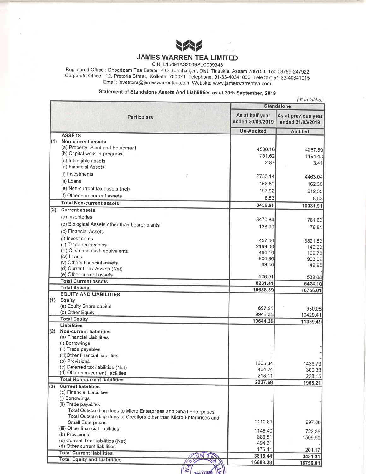

CIN: L15491AS2009PLC009345

Registered Office : Dhoedaam Tea Estate, P.O. Borahapjan, Dist. Tinsukia, Assam 786150. Tel: 03759-247922<br>Corporate Office : 12, Pretoria Street, Kolkata 700071 Telephone: 91-33-40341000 Tele fax: 91-33-40341015 Email: investors@jameswarrentea.com Website: www.jameswarrentea.com

# Statement of Standalone Assets And Liablilities as at 30th September, 2019

|     |                                                                         |                                     | $(\bar{z}$ in lakhs)                    |
|-----|-------------------------------------------------------------------------|-------------------------------------|-----------------------------------------|
|     |                                                                         |                                     | <b>Standalone</b>                       |
|     | <b>Particulars</b>                                                      | As at half year<br>ended 30/09/2019 | As at previous year<br>ended 31/03/2019 |
|     |                                                                         | <b>Un-Audited</b>                   | <b>Audited</b>                          |
|     | <b>ASSETS</b><br>(1) Non-current assets                                 |                                     |                                         |
|     | (a) Property, Plant and Equipment                                       | 4580.10                             |                                         |
|     | (b) Capital work-in-progress                                            | 751.62                              | 4287.80                                 |
|     | (c) Intangible assets                                                   | 2.87                                | 1194.48<br>3.41                         |
|     | (d) Financial Assets                                                    |                                     |                                         |
|     | (i) Investments                                                         | 2753.14                             | 4463.04                                 |
|     | (ii) Loans                                                              | 162.80                              |                                         |
|     | (e) Non-current tax assets (net)                                        |                                     | 162.30                                  |
|     | (f) Other non-current assets                                            | 197.92                              | 212.35                                  |
|     | <b>Total Non-current assets</b>                                         | 8.53                                | 8.53                                    |
| (2) | <b>Current assets</b>                                                   | 8456.98                             | 10331.91                                |
|     | (a) Inventories                                                         |                                     |                                         |
|     | (b) Biological Assets other than bearer plants                          | 3470.84                             | 781.63                                  |
|     | (c) Financial Assets                                                    | 138.90                              | 78.81                                   |
|     |                                                                         |                                     |                                         |
|     | (i) Investments<br>(ii) Trade receivables                               | 457.40                              | 3821.53                                 |
|     | (iii) Cash and cash equivalents                                         | 2199.00                             | 140.23                                  |
|     | (iv) Loans                                                              | 464.10                              | 109.78                                  |
|     | (v) Others financial assets                                             | 904.86                              | 903.09                                  |
|     | (d) Current Tax Assets (Net)                                            | 69.40                               | 49.95                                   |
|     | (e) Other current assets                                                | 526.91                              | 539.08                                  |
|     | <b>Total Current assets</b>                                             | 8231.41                             | 6424.10                                 |
|     | <b>Total Assets</b>                                                     | 16688.39                            | 16756.01                                |
|     | <b>EQUITY AND LIABILITIES</b>                                           |                                     |                                         |
|     | $(1)$ Equity                                                            |                                     |                                         |
|     | (a) Equity Share capital                                                | 697.91                              | 930.08                                  |
|     | (b) Other Equity<br><b>Total Equity</b>                                 | 9946.35                             | 10429.41                                |
|     | Liabilities                                                             | 10644.26                            | 11359.49                                |
|     | (2) Non-current liabilities                                             |                                     |                                         |
|     | (a) Financial Liabilities                                               |                                     |                                         |
|     | (i) Borrowings                                                          |                                     |                                         |
|     | (ii) Trade payables                                                     |                                     |                                         |
|     | (iii) Other financial liabilities                                       |                                     |                                         |
|     | (b) Provisions                                                          | 1605.34                             | 1436.73                                 |
|     | (c) Deferred tax liabilities (Net)<br>(d) Other non-current liabilities | 404.24                              | 300.33                                  |
|     | <b>Total Non-current liabilities</b>                                    | 218.11                              | 228.15                                  |
| (3) | <b>Current liabilities</b>                                              | 2227.69                             | 1965.21                                 |
|     | (a) Financial Liabilities                                               |                                     |                                         |
|     | (i) Borrowings                                                          |                                     |                                         |
|     | (ii) Trade payables                                                     |                                     |                                         |
|     | Total Outstanding dues to Micro Enterprises and Small Enterprises       |                                     |                                         |
|     | Total Outstanding dues to Creditors other than Micro Enterprises and    |                                     |                                         |
|     | <b>Small Enterprises</b>                                                | 1110.81                             | 997.88                                  |
|     | (iii) Other financial liabilities                                       | 1148.40                             | 722.36                                  |
|     | (b) Provisions                                                          | 886.51                              | 1509.90                                 |
|     | (c) Current Tax Liabilities (Net)<br>(d) Other current liabilities      | 494.61                              |                                         |
|     | <b>Total Current liabilities</b>                                        | 176.11                              | 201.17                                  |
|     | <b>Total Equity and Liabilities</b>                                     | 3816.44                             | 3431.31                                 |
|     |                                                                         | 16688.39                            | 16756.01                                |

 $\sqrt{\frac{1}{2} \cdot \frac{1}{2}}$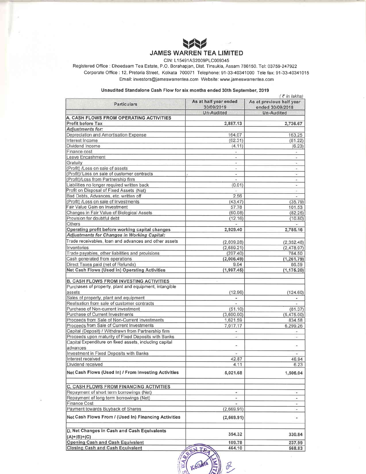

#### CIN: L15491AS2009PLC009345

Registered Office : Dhoedaam Tea Estate, P.O. Borahapjan, Dist. Tinsukia, Assam 786150. Tel: 03759-247922 Corporate Office: 12, Pretoria Street, Kolkata 700071 Telephone: 91-33-40341000 Tele fax: 91-33-40341015 Email: investors@jameswarrentea.com Website: www jameswarrentea.com

#### Unaudited Standalone Cash Flow for six months ended 30th September, 2019

| <b>Particulars</b>                                     | As at half year ended<br>30/09/2019 | $($ ₹ in lakhs)<br>As at previous half year<br>ended 30/09/2018 |
|--------------------------------------------------------|-------------------------------------|-----------------------------------------------------------------|
|                                                        | Un-Audited                          | Un-Audited                                                      |
| A. CASH FLOWS FROM OPERATING ACTIVITIES                |                                     |                                                                 |
| Profit before Tax                                      | 2,887.13                            | 2,736.67                                                        |
| <b>Adjustments for:</b>                                |                                     |                                                                 |
| Depreciation and Amortisation Expense                  | 164.07                              | 163.25                                                          |
| Interest Income                                        | (62.31)                             | (81.22)                                                         |
| Dividend Income                                        | (4.11)                              | (6.23)                                                          |
| Finance cost                                           |                                     |                                                                 |
| Leave Encashment                                       | ٠                                   | ×,                                                              |
| Gratuity                                               |                                     |                                                                 |
| (Profit) /Loss on sale of assets                       | $\overline{\phantom{a}}$            | $\overline{\phantom{a}}$                                        |
| (Profit)/ Loss on sale of customer contracts           | ÷.                                  | $\equiv$                                                        |
| (Profit)/Loss from Partnership firm                    | ×.                                  | $\overline{\phantom{a}}$                                        |
| Liabilities no longer required written back            | (0.01)                              | Ξ                                                               |
| Profit on Disposal of Fixed Assets (Net)               | ÷.                                  | $\frac{1}{2}$                                                   |
| Bad Debts, Advances, etc. written off                  | 2.56                                |                                                                 |
| (Profit) /Loss on sale of Investments                  | (43.47)                             | (35.79)                                                         |
| Fair Value Gain on Investment                          | 57.78                               | 101.53                                                          |
| Changes in Fair Value of Biological Assets             | (60.08)                             | (82.25)                                                         |
| Provision for doubtful debt                            | (12.16)                             | (10.80)                                                         |
| Others                                                 |                                     |                                                                 |
| Operating profit before working capital changes        | 2,929.40                            | 2,785.16                                                        |
| Adjustments for Changes in Working Capital:            |                                     |                                                                 |
| Trade receivables, loan and advances and other assets  | (2,039.28)                          | (2,352.48)                                                      |
| Inventories                                            | (2,689.21)                          | (2,478.97)                                                      |
| Trade payables, other liabilities and provisions       | (207.40)                            | 784.50                                                          |
| Cash generated from operations                         | (2,006.49)                          | (1, 261.79)                                                     |
| Direct Taxes paid (net of Refunds)                     | 9.04                                | 86.59                                                           |
| Net Cash Flows (Used in) Operating Activities          | (1,997.45)                          | (1, 175.20)                                                     |
| <b>B. CASH FLOWS FROM INVESTING ACTIVITIES</b>         |                                     |                                                                 |
| Purchases of property, plant and equipment, intangible |                                     |                                                                 |
| assets                                                 | (12.96)                             | (124.60)                                                        |
| Sales of property, plant and equipment                 | $\mathcal{L}_{\mathcal{A}}$         | ×                                                               |
| Realisation from sale of customer contracts            |                                     |                                                                 |
| Purchase of Non-current investment                     | (51.10)                             | (81.37)                                                         |
| <b>Purchase of Current Investments</b>                 | (3,600.00)                          | (5,475.00)                                                      |
| Proceeds from Sale of Non-Current Investments          | 1,621.59                            | 834.58                                                          |
| Proceeds from Sale of Current Investments              | 7,017.17                            | 6,299.26                                                        |
| Capital (Deposit) / Withdrawn from Partnership firm    |                                     |                                                                 |
| Proceeds upon maturity of Fixed Deposits with Banks    | $\overline{\phantom{a}}$            | ÷                                                               |
| Capital Expenditure on fixed assets, including capital |                                     |                                                                 |
| advances                                               | ٠                                   |                                                                 |
| Investment in Fixed Deposits with Banks                |                                     |                                                                 |
| Interest received                                      | 42.87                               | 46.94                                                           |
| Dividend received                                      | 4.11                                | 6.23                                                            |
| Net Cash Flows (Used In) / From Investing Activities   | 5,021.68                            | 1,506.04                                                        |
|                                                        |                                     |                                                                 |
| C. CASH FLOWS FROM FINANCING ACTIVITIES                |                                     |                                                                 |
| Repayment of short term borrowings (Net)               | ¥.                                  | ¥.                                                              |
| Repayment of long term borrowings (Net)                | ۰                                   | $\bullet$                                                       |
| <b>Finance Cost</b>                                    |                                     | ٠                                                               |
| Payment towards Buyback of Shares                      | (2,669.91)                          | w.                                                              |
| Net Cash Flows From / (Used In) Financing Activities   | (2,669.91)                          | ¥                                                               |
| D. Net Changes in Cash and Cash Equivalents            |                                     |                                                                 |
| $(A)+(B)+(C)$                                          | 354.32                              | 330.84                                                          |
| <b>Opening Cash and Cash Equivalent</b>                | 109.78                              | 237.99                                                          |
| <b>Closing Cash and Cash Equivalent</b>                | 464.10                              | 568.83                                                          |
|                                                        |                                     |                                                                 |

 $616$ 

 $\partial^2$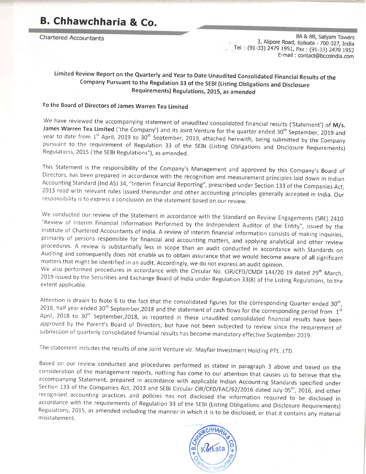# B. Chhawchharia & Co.

**Chartered Accountants** 

8A & 8B, Satyam Towers 3, Alipore Road, Kolkata - 700 027, India Tel : (91-33) 2479 1951, Fax : (91-33) 2479 1952 E\_ma il : contact@bccoindia.com

# Limited Review Report on the Quarterly and Year to Date Unaudited Consolidated Financial Results of the company Pursuant to the Regulation 33 of the SEBI (Listing Obligations and Disclosure Requirements) Regulations, 2015, as amended

### To the Board of Directors of James Warren Tea Limited

We have reviewed the accompanying statement of unaudited consolidated financial results ('Statement') of M/s.<br>James Warren Tea Limited ('the Company') and its Joint Venture for the quarter ended  $30^{th}$  September, 2019 an

This Statement is the responsibility of the Company's Management and approved by this Company's Board of Directors, has been prepared in accordance with the recognition and measurement principles laid down in Indian Accoun

We conducted our review of the Statement in accordance with the Standard on Review Engagements (SRE) 2410<br>
"Review of Interim Financial Information Performed by the Independent Auditor of the Entity", issued by the<br>
Insti

2019 issued by the Securities and Exchange Board of India under Regulation 33(8) of the Listing Regulations, to the<br>extent applicable.

Attention is drawn to Note 6 to the fact that the consolidated figures for the corresponding Quarter ended 30<sup>th</sup>, 2018, half year ended 30<sup>th</sup> September,2018 and the statement of cash flows for the corresponding period f April, 2018 to 30<sup>th</sup> September, 2018, as reported in these unaudited consolidated financial results have been approved by the Parent's Board of Directors, but have not been subjected to review since the requirement of sub

The statement includes the results of one Joint Venture viz. Mayfair Investment Holding PTE. LTD.

Based on our review conducted and procedures performed as stated in paragraph 3 above and based on the<br>consideration of the management reports, nothing has come to our attention that causes us to believe that the<br>accompany misstatement.

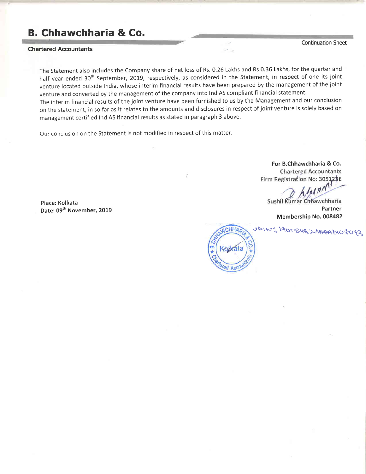# B. Chhawchharia & Co.

#### Chartered Accountants

The Statement also includes the Company share of net loss of Rs.0.26 Lakhs and Rs 0.35 Lakhs, forthe quarter and half year ended 30<sup>th</sup> September, 2019, respectively, as considered in the Statement, in respect of one its joint venture located outside India, whose interim financial results have been prepared by the management of the joint venture and converted by the management of the company into Ind AS compliant financial statement. The interim financial results of the joint venture have been furnished to us by the Management and our conclusion on the statement, in so far as it relates to the amounts and disclosures in respect of joint venture is solely based on management certified Ind AS financial results as stated in paragraph 3 above.

Our conclusion on the Statement is not modified in respect of this matter.

Place: Kolkata Date: 09<sup>th</sup> November, 2019

For B.Chhawchharia & Co.**Chartered Accountants** Firm Registration No: 305128E

Sushil Kumar Chhawchharia Partner Membership No.008482

: 1900 BY & 2 ARAA DW



Continuation Sheet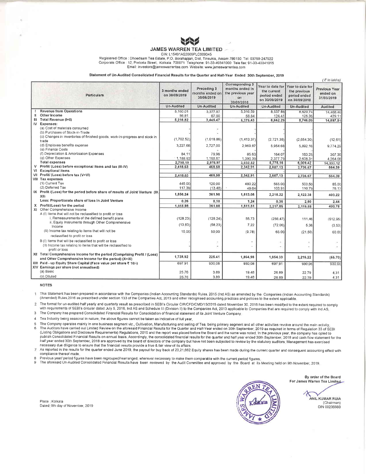

#### **JAMES WARREN TEA LIMITED ...** CIN: L15491AS2009PLC009345

Registered Office : Dhoedaam Tea Estate, P.O. Borahapjan, Dist. Tinsukia, Assam 786150, Tel: 03759-247922 Corporate Office : 12, Pretoria Street, Kolkata 700071 Telephone: 91-33-40341000 Tele fax: 91-33-40341015 Email: investors@jameswarrentea.com Website: www.jameswarrentea.com

Statement of Un-Audited Consolidated Financial Results for the Quarter and Half-Year Ended 30th September, 2019

|         | <b>Particulars</b>                                                                   | 3 months ended<br>on 30/09/2019 | Preceding 3<br>months ended on<br>30/06/2019 | Corresponding 3<br>months ended in<br>the previous year<br>on<br>30/09/2018 | Year to date for<br>the current<br>period ended<br>on 30/09/2019 | Year to date for<br>the previous<br>period ended<br>on 30/09/2018 | Previous Year<br>ended on<br>31/03/2019 |
|---------|--------------------------------------------------------------------------------------|---------------------------------|----------------------------------------------|-----------------------------------------------------------------------------|------------------------------------------------------------------|-------------------------------------------------------------------|-----------------------------------------|
|         |                                                                                      | <b>Un-Audited</b>               | Un-Audited                                   | <b>Un-Audited</b>                                                           | Un-Audited                                                       | <b>Un-Audited</b>                                                 | Audited                                 |
|         | <b>Revenue from Operations</b>                                                       | 5.160.01                        | 3.377.87                                     | 5.316.59                                                                    | 8,537.88                                                         | 8,620.74                                                          | 14,468.40                               |
|         | Other Income                                                                         | 56.81                           | 67.60                                        | 58.84                                                                       | 124.41                                                           | 125.35                                                            | 429.11                                  |
| Ш       | Total Revenue (I+II)                                                                 | 5,216.82                        | 3,445,47                                     | 5,375.43                                                                    | 8,662,29                                                         | 8,746.09                                                          | 14,897.51                               |
| IV.     | Expenses:                                                                            |                                 |                                              |                                                                             |                                                                  |                                                                   |                                         |
|         | (a) Cost of materials consumed                                                       |                                 |                                              |                                                                             |                                                                  |                                                                   |                                         |
|         | (b) Purchases of Stock-in-Trade                                                      |                                 |                                              |                                                                             |                                                                  |                                                                   |                                         |
|         | (c) Changes in inventories of finished goods, work-in-progress and stock in          | (1,702,52)                      | (1,018.86)                                   | (1, 413, 37)                                                                | (2,721.38)                                                       | (2,654,30)                                                        | (12.61)                                 |
|         | trade                                                                                |                                 |                                              |                                                                             |                                                                  |                                                                   |                                         |
|         | (d) Employee benefits expense                                                        | 3,227.68                        | 2.727.00                                     | 2,969.87                                                                    | 5,954.68                                                         | 5,892.16                                                          | 9,774.29                                |
|         | (e) Finance Costs                                                                    |                                 |                                              |                                                                             |                                                                  |                                                                   |                                         |
|         | (f) Depreciation & Amortisation Expenses                                             | 84.11                           | 79.96                                        | 85.63                                                                       | 164.07                                                           | 163.25                                                            | 307.36                                  |
|         | (g) Other Expenses                                                                   | 1.188.92                        | 1,188.87                                     | 1,390.39                                                                    | 2,377.79                                                         | 2,608.31                                                          | 4.264.08                                |
|         | <b>Total expenses</b>                                                                | 2,798.19                        | 2,976.97                                     | 3,032.52                                                                    | 5,775.16                                                         | 6.009.42                                                          | 14,333.12                               |
| v<br>vı | Profit/ (Loss) before exceptional items and tax (III-IV)<br><b>Exceptional items</b> | 2,418.63                        | 468.50                                       | 2,342.91                                                                    | 2.887.13                                                         | 2,736.67                                                          | 564.39                                  |
|         | VII Profit/ (Loss) before tax (V+VI)                                                 |                                 |                                              |                                                                             |                                                                  |                                                                   |                                         |
|         | <b>VIII Tax expenses</b>                                                             | 2,418.63                        | 468.50                                       | 2,342.91                                                                    | 2,887.13                                                         | 2,736.67                                                          | 564.39                                  |
|         | (1) Current Tax                                                                      | 445.00                          | 120.00                                       |                                                                             |                                                                  |                                                                   |                                         |
|         | (2) Deferred Tax                                                                     | 117.39                          |                                              | 480.22                                                                      | 565.00                                                           | 503.50                                                            | 85.00                                   |
|         | IX Profit /(Loss) for the period before share of results of Joint Venture (IX.       |                                 | (13.48)                                      | 49.64                                                                       | 103.91                                                           | 110.79                                                            | 76.17                                   |
|         | XII)                                                                                 | 1,856,24                        | 361,98                                       | 1,813.05                                                                    | 2,218.22                                                         | 2,122.38                                                          | 403.22                                  |
|         | Less: Proportionate share of loss in Joint Venture                                   | 0.26                            | 0.10                                         | 1.24                                                                        | 0.36                                                             | 2.50                                                              | 2.44                                    |
| x       | Profit/(Loss) for the period                                                         | 1,855.98                        | 361.88                                       | 1,811.81                                                                    | 2,217.86                                                         | 2,119.88                                                          | 400.78                                  |
|         | XI Other Comprehensive Income                                                        |                                 |                                              |                                                                             |                                                                  |                                                                   |                                         |
|         | A (I) Items that will not be reclassified to profit or loss                          |                                 |                                              |                                                                             |                                                                  |                                                                   |                                         |
|         | i. Remeasurements of the defined benefit plans                                       | (128.23)                        | (128.24)                                     | 55.73                                                                       | (256.47)                                                         | 111.46                                                            | (512.95)                                |
|         | ii. Equity Instruments through Other Comprehensive<br>Income                         | (13.83)                         | (58.23)                                      | 7.22                                                                        | (72.06)                                                          | 5.38                                                              | (3.53)                                  |
|         | (II) Income tax relating to items that will not be                                   | 15.00                           | 50.00                                        | (9.78)                                                                      | 65.00                                                            | (21.50)                                                           | 60.00                                   |
|         | reclassified to profit or loss                                                       |                                 |                                              |                                                                             |                                                                  |                                                                   |                                         |
|         | B (!) Items that will be reclassified to profit or loss                              |                                 |                                              |                                                                             |                                                                  |                                                                   |                                         |
|         | (II) Income tax relating to items that will be reclassified to<br>profit or loss     |                                 |                                              |                                                                             |                                                                  |                                                                   |                                         |
|         | XII Total Comprehensive Income for the period (Comprising Profit / (Loss)            | 1,728.92                        | 225.41                                       | 1,864.98                                                                    | 1,954.33                                                         | 2,215.22                                                          | (55.70)                                 |
|         | and Other Comprehensive Income for the period) (X+XI)                                |                                 |                                              |                                                                             |                                                                  |                                                                   |                                         |
|         | XIII Paid - up Equity Share Capital (Face value per share ₹ 10/-)                    | 697.91                          | 930.08                                       | 930.08                                                                      | 697.91                                                           | 930.08                                                            | 930.08                                  |
|         | XIV Earnings per share (not annualised)                                              |                                 |                                              |                                                                             |                                                                  |                                                                   |                                         |
|         | (a) Basic                                                                            | 25.76                           | 3.89                                         | 19.48                                                                       | 26.89                                                            | 22.79                                                             | 4.31                                    |
|         | (b) Diluted                                                                          | 25.76                           | 3.89                                         | 19.48                                                                       | 26.89                                                            | 22.79                                                             | 4.31                                    |

**NOTES** 

This Statement has been prepared in accordance with the Companies (Indian Accounting Standards) Rules, 2015 (Ind AS) as amended by the Companies (Indian Accounting Standards) Ŧ. (Amended) Rules, 2016 as prescribed under section 133 of the Companies Act, 2013 and other recognised accounting practices and policies to the extent applicable.

The format for un-audited half yearly and quarterly result as prescribed in SEBI's Circular CIR/CFD/CMD/15/2015 dated November 30, 2015 has been modified to the extent required to comply  $\overline{2}$ with requirements of SEBI's circular dated July 5, 2016, Ind AS and Schedule III (Division II) to the Companies Act, 2013 applicable to Companies that are required to comply with Ind AS, The Company has prepared Consolidated Financial Results for Consolidation of financial statement of its Joint Venture Company.  $\overline{3}$ 

 $\overline{4}$ 

Tea Industry being seasonal in nature, the above figures cannot be taken as indicative of full year.

The Company operates mainly in one business segment viz., Cultivation, Manufacturing and selling of Tea, being primary segment and all other activities revolve around the main activity. 5  $\overline{6}$ The Auditors have carried out Limited Review on the aforesaid Financial Results for the Quarter and Half-Year ended on 30th September, 2019 as required in terms of Regulation 33 of SEBI (Listing Obligations and Disclosure Requirements) Regulations, 2015 and the report was placed before the Board and the same was noted. In the previous year, the company has opted to publish Consolidated Financial Results o half year ended 30th September, 2018 are approved by the board of directors of the company but have not been subjected to review by the statutory auditors. Management has exercised necessary due diligence to ensure that the financial results provide a true & fair view of its affairs

 $\overline{7}$ As reported in the results for the quarter ended June 2019, the payout for buy back of 23,21,662 Equity shares has been made during the current quarter and consequent accounting effect with compliance thereof made.

 $\mathbf{a}$ 

onlightnice triction intust.<br>Previous year/ period figures have been regrouped/rearranged, wherever necessary to make them comparable with the current period figures.<br>The aforesaid Un-Audited Consolidated Financial Results 9



By order of the Board For James Warren Tea Limited

> ANIL KUMAR RUIA (Chairman) DIN 00236660

 $\zeta$  in lakhs)

Place : Kolkata Dated: 9th day of November, 2019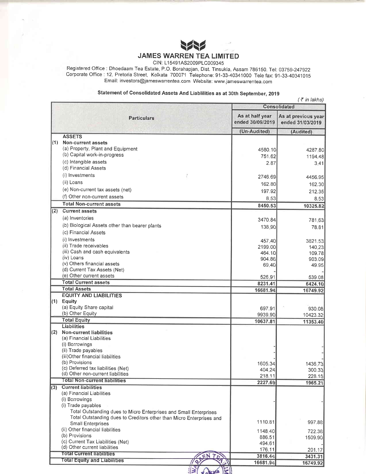

CIN: L15491AS2009PLC009345

Registered Office : Dhoedaam Tea Estate, P.O. Borahapjan, Dist. Tinsukia, Assam 786150. Tel: 03759-247922 Corporate Office : 12, Pretoria Street, Kolkata 700071 Telephone: 91-33-40341000 Tele fax: 91-33-40341015 Email: investors@jameswarrentea.com Website: www.jameswarrentea.com

# Statement of Consolidated Assets And Liablilities as at 30th September, 2019

|     |                                                                                                                                           |                                     | $($ ₹ in lakhs)                         |
|-----|-------------------------------------------------------------------------------------------------------------------------------------------|-------------------------------------|-----------------------------------------|
|     |                                                                                                                                           |                                     | <b>Consolidated</b>                     |
|     | <b>Particulars</b>                                                                                                                        | As at half year<br>ended 30/09/2019 | As at previous year<br>ended 31/03/2019 |
|     |                                                                                                                                           | (Un-Audited)                        | (Audited)                               |
| (1) | <b>ASSETS</b><br><b>Non-current assets</b>                                                                                                |                                     |                                         |
|     | (a) Property, Plant and Equipment                                                                                                         |                                     |                                         |
|     | (b) Capital work-in-progress                                                                                                              | 4580.10<br>751.62                   | 4287.80                                 |
|     | (c) Intangible assets                                                                                                                     | 2.87                                | 1194.48<br>3.41                         |
|     | (d) Financial Assets                                                                                                                      |                                     |                                         |
|     | (i) Investments                                                                                                                           | 2746.69                             | 4456.95                                 |
|     | (ii) Loans                                                                                                                                | 162.80                              |                                         |
|     | (e) Non-current tax assets (net)                                                                                                          |                                     | 162.30                                  |
|     | (f) Other non-current assets                                                                                                              | 197.92                              | 212.35                                  |
|     | <b>Total Non-current assets</b>                                                                                                           | 8.53<br>8450.53                     | 8.53                                    |
| (2) | <b>Current assets</b>                                                                                                                     |                                     | 10325.82                                |
|     | (a) Inventories                                                                                                                           |                                     |                                         |
|     | (b) Biological Assets other than bearer plants                                                                                            | 3470.84                             | 781,63                                  |
|     | (c) Financial Assets                                                                                                                      | 138.90                              | 78.81                                   |
|     | (i) Investments                                                                                                                           |                                     |                                         |
|     | (ii) Trade receivables                                                                                                                    | 457.40                              | 3821.53                                 |
|     | (iii) Cash and cash equivalents                                                                                                           | 2199.00<br>464.10                   | 140.23<br>109.78                        |
|     | (iv) Loans                                                                                                                                | 904.86                              | 903.09                                  |
|     | (v) Others financial assets                                                                                                               | 69.40                               | 49.95                                   |
|     | (d) Current Tax Assets (Net)                                                                                                              |                                     |                                         |
|     | (e) Other current assets                                                                                                                  | 526.91                              | 539.08                                  |
|     | <b>Total Current assets</b>                                                                                                               | 8231.41                             | 6424.10                                 |
|     | <b>Total Assets</b>                                                                                                                       | 16681.94                            | 16749.92                                |
|     | <b>EQUITY AND LIABILITIES</b><br>(1) Equity                                                                                               |                                     |                                         |
|     | (a) Equity Share capital                                                                                                                  | 697.91                              | 930.08                                  |
|     | (b) Other Equity                                                                                                                          | 9939.90                             | 10423.32                                |
|     | <b>Total Equity</b>                                                                                                                       | 10637.81                            | 11353.40                                |
|     | <b>Liabilities</b>                                                                                                                        |                                     |                                         |
| (2) | <b>Non-current liabilities</b>                                                                                                            |                                     |                                         |
|     | (a) Financial Liabilities                                                                                                                 |                                     |                                         |
|     | (i) Borrowings                                                                                                                            |                                     |                                         |
|     | (ii) Trade payables<br>(iii)Other financial liabilities                                                                                   |                                     |                                         |
|     | (b) Provisions                                                                                                                            |                                     |                                         |
|     | (c) Deferred tax liabilities (Net)                                                                                                        | 1605.34<br>404.24                   | 1436.73<br>300.33                       |
|     | (d) Other non-current liabilities                                                                                                         | 218.11                              | 228.15                                  |
|     | <b>Total Non-current liabilities</b>                                                                                                      | 2227.69                             | 1965.21                                 |
| (3) | <b>Current liabilities</b>                                                                                                                |                                     |                                         |
|     | (a) Financial Liabilities                                                                                                                 |                                     |                                         |
|     | (i) Borrowings                                                                                                                            |                                     |                                         |
|     | (i) Trade payables                                                                                                                        |                                     |                                         |
|     | Total Outstanding dues to Micro Enterprises and Small Enterprises<br>Total Outstanding dues to Creditors other than Micro Enterprises and |                                     |                                         |
|     | Small Enterprises                                                                                                                         | 1110.81                             | 997.88                                  |
|     | (ii) Other financial liabilities                                                                                                          | 1148.40                             | 722.36                                  |
|     | (b) Provisions                                                                                                                            | 886.51                              | 1509.90                                 |
|     | (c) Current Tax Liabilities (Net)                                                                                                         | 494.61                              |                                         |
|     | (d) Other current liabilities                                                                                                             | 176.11                              | 201.17                                  |
|     | <b>Total Current liabilities</b>                                                                                                          | 3816.44                             | 3431.31                                 |
|     | <b>Total Equity and Liabilities</b>                                                                                                       | 16681.94                            | 16749.92                                |